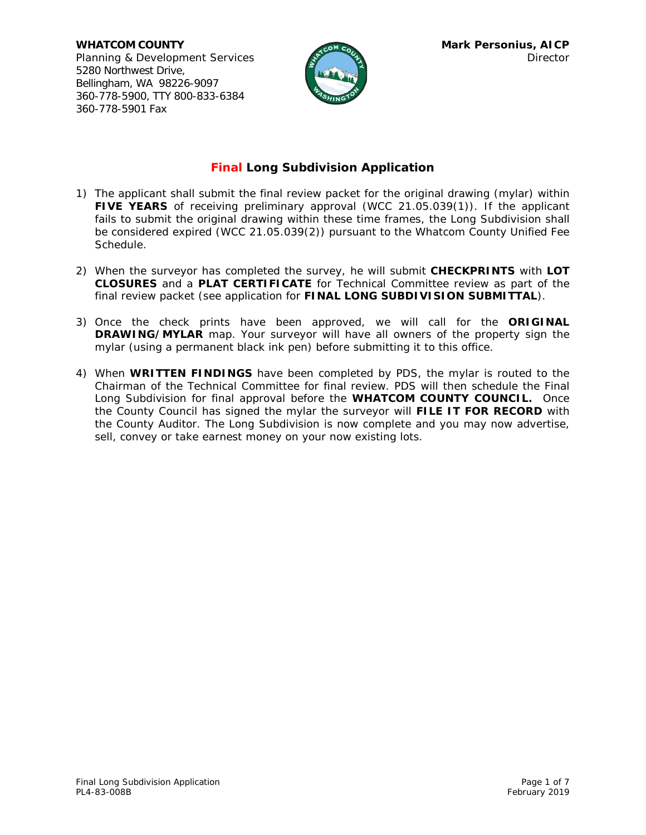**WHATCOM COUNTY Mark Personius, AICP** Planning & Development Services and the services Director 5280 Northwest Drive, Bellingham, WA 98226-9097 360-778-5900, TTY 800-833-6384 360-778-5901 Fax



## **Final Long Subdivision Application**

- 1) The applicant shall submit the final review packet for the original drawing (mylar) within **FIVE YEARS** of receiving preliminary approval (WCC 21.05.039(1)). If the applicant fails to submit the original drawing within these time frames, the Long Subdivision shall be considered expired (WCC 21.05.039(2)) pursuant to the Whatcom County Unified Fee Schedule.
- 2) When the surveyor has completed the survey, he will submit **CHECKPRINTS** with **LOT CLOSURES** and a **PLAT CERTIFICATE** for Technical Committee review as part of the final review packet (see application for **FINAL LONG SUBDIVISION SUBMITTAL**).
- 3) Once the check prints have been approved, we will call for the **ORIGINAL DRAWING/MYLAR** map. Your surveyor will have all owners of the property sign the mylar (using a permanent black ink pen) before submitting it to this office.
- 4) When **WRITTEN FINDINGS** have been completed by PDS, the mylar is routed to the Chairman of the Technical Committee for final review. PDS will then schedule the Final Long Subdivision for final approval before the **WHATCOM COUNTY COUNCIL.** Once the County Council has signed the mylar the surveyor will **FILE IT FOR RECORD** with the County Auditor. The Long Subdivision is now complete and you may now advertise, sell, convey or take earnest money on your now existing lots.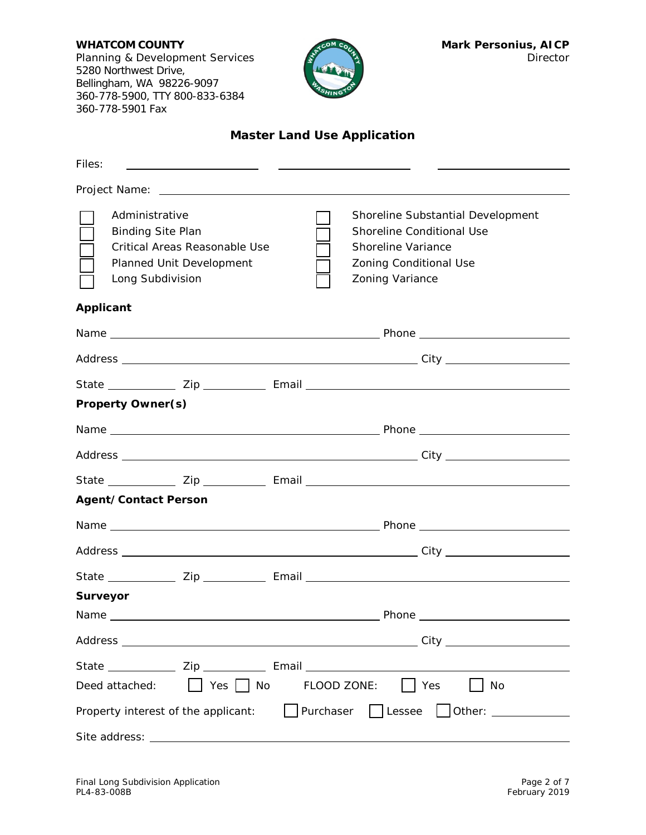Planning & Development Services **Director Director** 5280 Northwest Drive, Bellingham, WA 98226-9097 360-778-5900, TTY 800-833-6384 360-778-5901 Fax



# **Master Land Use Application**

| Files:<br>the control of the control of the control of the control of the control of                                                                                                                                                                                                  |
|---------------------------------------------------------------------------------------------------------------------------------------------------------------------------------------------------------------------------------------------------------------------------------------|
|                                                                                                                                                                                                                                                                                       |
| Administrative<br>Shoreline Substantial Development<br><b>Binding Site Plan</b><br>Shoreline Conditional Use<br>Critical Areas Reasonable Use<br><b>Shoreline Variance</b><br>Planned Unit Development<br><b>Zoning Conditional Use</b><br>Long Subdivision<br><b>Zoning Variance</b> |
| <b>Applicant</b>                                                                                                                                                                                                                                                                      |
|                                                                                                                                                                                                                                                                                       |
|                                                                                                                                                                                                                                                                                       |
|                                                                                                                                                                                                                                                                                       |
| <b>Property Owner(s)</b>                                                                                                                                                                                                                                                              |
|                                                                                                                                                                                                                                                                                       |
|                                                                                                                                                                                                                                                                                       |
|                                                                                                                                                                                                                                                                                       |
| <b>Agent/Contact Person</b>                                                                                                                                                                                                                                                           |
|                                                                                                                                                                                                                                                                                       |
|                                                                                                                                                                                                                                                                                       |
|                                                                                                                                                                                                                                                                                       |
| <b>Surveyor</b>                                                                                                                                                                                                                                                                       |
|                                                                                                                                                                                                                                                                                       |
|                                                                                                                                                                                                                                                                                       |
| State _______________ Zip ______________ Email _________________________________                                                                                                                                                                                                      |
| $\Box$ Yes $\Box$ No FLOOD ZONE: $\Box$ Yes<br>$\vert$ $\vert$ No<br>Deed attached:                                                                                                                                                                                                   |
| Purchaser Lessee Other: _________<br>Property interest of the applicant:                                                                                                                                                                                                              |
| Site address:                                                                                                                                                                                                                                                                         |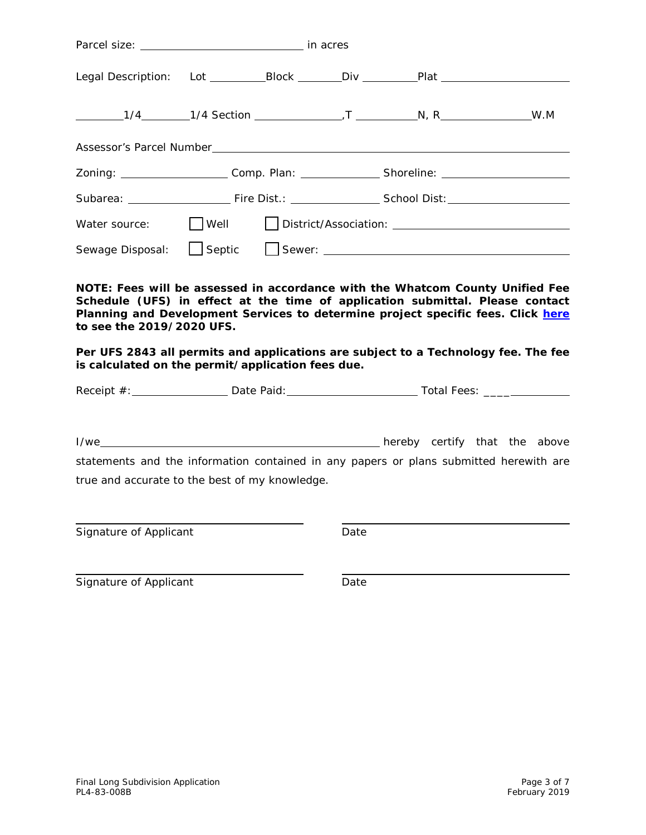|               | Zoning: ______________________Comp. Plan: _________________Shoreline: _____________________________ |  |  |  |  |
|---------------|-----------------------------------------------------------------------------------------------------|--|--|--|--|
|               |                                                                                                     |  |  |  |  |
| Water source: |                                                                                                     |  |  |  |  |
|               |                                                                                                     |  |  |  |  |
|               |                                                                                                     |  |  |  |  |

**NOTE: Fees will be assessed in accordance with the Whatcom County Unified Fee Schedule (UFS) in effect at the time of application submittal. Please contact Planning and Development Services to determine project specific fees. Click [here](https://wa-whatcomcounty.civicplus.com/DocumentCenter/View/38803/2019-Approved-Unified-Fee-Schedule-for-Planning-PW-Engineering-Health-Environmental-Division) to see the 2019/2020 UFS.**

**Per UFS 2843 all permits and applications are subject to a Technology fee. The fee is calculated on the permit/application fees due.**

Receipt #: Date Paid: Total Fees: \_\_\_\_

I/we hereby certify that the above statements and the information contained in any papers or plans submitted herewith are true and accurate to the best of my knowledge.

Signature of Applicant Date Date

Signature of Applicant Date Date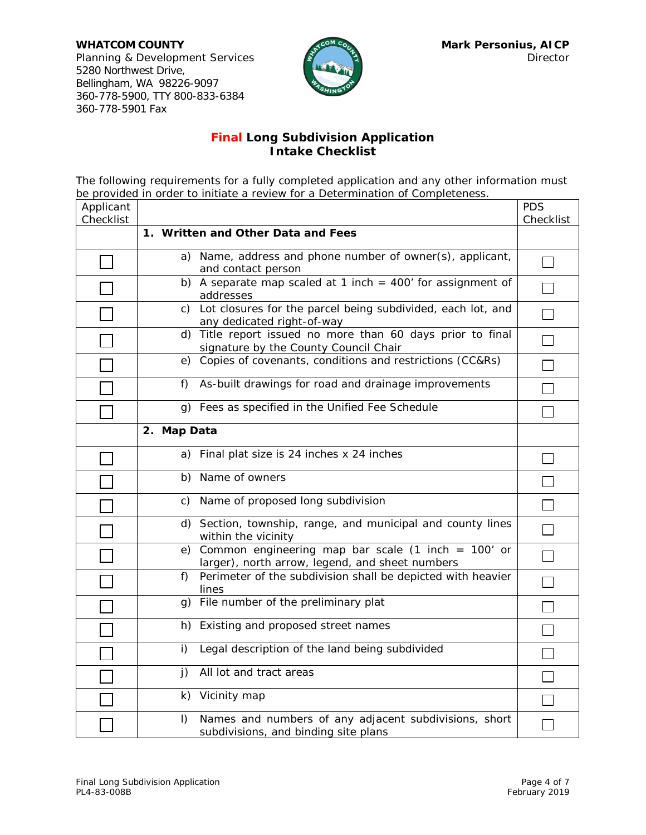**WHATCOM COUNTY Mark Personius, AICP** Planning & Development Services and Director 5280 Northwest Drive, Bellingham, WA 98226-9097 360-778-5900, TTY 800-833-6384 360-778-5901 Fax



### **Final Long Subdivision Application Intake Checklist**

The following requirements for a fully completed application and any other information must be provided in order to initiate a review for a Determination of Completeness.

| Applicant<br>Checklist |                                                                                                            | <b>PDS</b><br>Checklist     |
|------------------------|------------------------------------------------------------------------------------------------------------|-----------------------------|
|                        | 1. Written and Other Data and Fees                                                                         |                             |
|                        | a) Name, address and phone number of owner(s), applicant,<br>and contact person                            |                             |
|                        | b) A separate map scaled at 1 inch = $400'$ for assignment of<br>addresses                                 |                             |
|                        | Lot closures for the parcel being subdivided, each lot, and<br>C)<br>any dedicated right-of-way            | $\mathcal{L}_{\mathcal{A}}$ |
|                        | d) Title report issued no more than 60 days prior to final<br>signature by the County Council Chair        | $\overline{\phantom{a}}$    |
|                        | e) Copies of covenants, conditions and restrictions (CC&Rs)                                                |                             |
|                        | As-built drawings for road and drainage improvements<br>f)                                                 |                             |
|                        | g) Fees as specified in the Unified Fee Schedule                                                           | Ξ                           |
|                        | 2. Map Data                                                                                                |                             |
|                        | a) Final plat size is 24 inches x 24 inches                                                                |                             |
|                        | b) Name of owners                                                                                          |                             |
|                        | c) Name of proposed long subdivision                                                                       | $\Box$                      |
|                        | d) Section, township, range, and municipal and county lines<br>within the vicinity                         | $\Box$                      |
|                        | e) Common engineering map bar scale (1 inch = $100'$ or<br>larger), north arrow, legend, and sheet numbers | $\Box$                      |
|                        | Perimeter of the subdivision shall be depicted with heavier<br>f)<br>lines                                 |                             |
|                        | g) File number of the preliminary plat                                                                     | $\Box$                      |
|                        | Existing and proposed street names<br>h)                                                                   |                             |
|                        | i)<br>Legal description of the land being subdivided                                                       |                             |
|                        | All lot and tract areas<br>j)                                                                              |                             |
|                        | k) Vicinity map                                                                                            |                             |
|                        | Names and numbers of any adjacent subdivisions, short<br>$\vert$ )<br>subdivisions, and binding site plans |                             |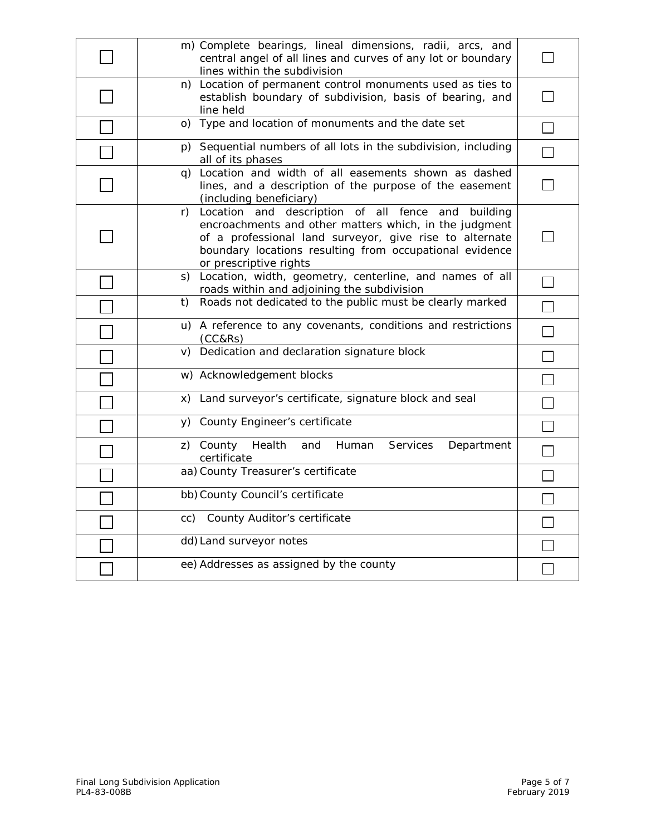| m) Complete bearings, lineal dimensions, radii, arcs, and<br>central angel of all lines and curves of any lot or boundary<br>lines within the subdivision                                                                                                                |  |
|--------------------------------------------------------------------------------------------------------------------------------------------------------------------------------------------------------------------------------------------------------------------------|--|
| n) Location of permanent control monuments used as ties to<br>establish boundary of subdivision, basis of bearing, and<br>line held                                                                                                                                      |  |
| o) Type and location of monuments and the date set                                                                                                                                                                                                                       |  |
| p) Sequential numbers of all lots in the subdivision, including<br>all of its phases                                                                                                                                                                                     |  |
| q) Location and width of all easements shown as dashed<br>lines, and a description of the purpose of the easement<br>(including beneficiary)                                                                                                                             |  |
| Location and description of all fence<br>r)<br>and<br>building<br>encroachments and other matters which, in the judgment<br>of a professional land surveyor, give rise to alternate<br>boundary locations resulting from occupational evidence<br>or prescriptive rights |  |
| s) Location, width, geometry, centerline, and names of all<br>roads within and adjoining the subdivision                                                                                                                                                                 |  |
| Roads not dedicated to the public must be clearly marked<br>t)                                                                                                                                                                                                           |  |
| u) A reference to any covenants, conditions and restrictions<br>(CC&RS)                                                                                                                                                                                                  |  |
| v) Dedication and declaration signature block                                                                                                                                                                                                                            |  |
| w) Acknowledgement blocks                                                                                                                                                                                                                                                |  |
| x) Land surveyor's certificate, signature block and seal                                                                                                                                                                                                                 |  |
| y) County Engineer's certificate                                                                                                                                                                                                                                         |  |
| z) County<br>Health<br>Human<br>Services<br>and<br>Department<br>certificate                                                                                                                                                                                             |  |
| aa) County Treasurer's certificate                                                                                                                                                                                                                                       |  |
| bb) County Council's certificate                                                                                                                                                                                                                                         |  |
| cc) County Auditor's certificate                                                                                                                                                                                                                                         |  |
| dd) Land surveyor notes                                                                                                                                                                                                                                                  |  |
| ee) Addresses as assigned by the county                                                                                                                                                                                                                                  |  |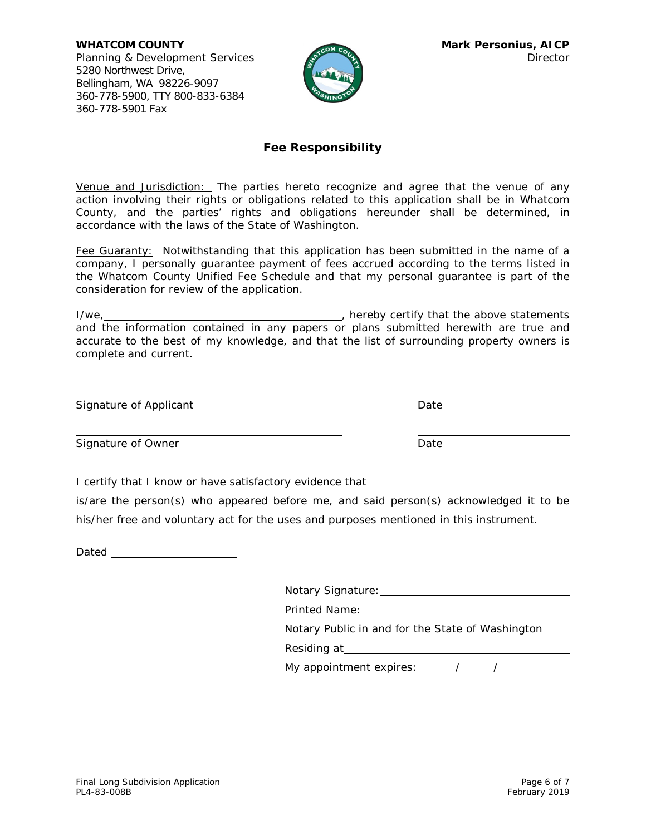**WHATCOM COUNTY MARK Personius, AICP** Planning & Development Services Director Director 5280 Northwest Drive, Bellingham, WA 98226-9097 360-778-5900, TTY 800-833-6384 360-778-5901 Fax



#### **Fee Responsibility**

Venue and Jurisdiction: The parties hereto recognize and agree that the venue of any action involving their rights or obligations related to this application shall be in Whatcom County, and the parties' rights and obligations hereunder shall be determined, in accordance with the laws of the State of Washington.

Fee Guaranty:Notwithstanding that this application has been submitted in the name of a company, I personally guarantee payment of fees accrued according to the terms listed in the Whatcom County Unified Fee Schedule and that my personal guarantee is part of the consideration for review of the application.

I/we, the statements of the above statements of the above statements of the above statements and the information contained in any papers or plans submitted herewith are true and accurate to the best of my knowledge, and that the list of surrounding property owners is complete and current.

| Signature of Applicant | Date |
|------------------------|------|
|                        |      |
|                        |      |

Signature of Owner National Contract Contract Contract Date

I certify that I know or have satisfactory evidence that \_\_\_\_\_\_\_\_\_

is/are the person(s) who appeared before me, and said person(s) acknowledged it to be his/her free and voluntary act for the uses and purposes mentioned in this instrument.

Dated <u>same</u>

| Notary Signature:                                |  |  |
|--------------------------------------------------|--|--|
| Printed Name:                                    |  |  |
| Notary Public in and for the State of Washington |  |  |
| Residing at <b>Residing</b>                      |  |  |
| My appointment expires: $\frac{\sqrt{2}}{2}$     |  |  |